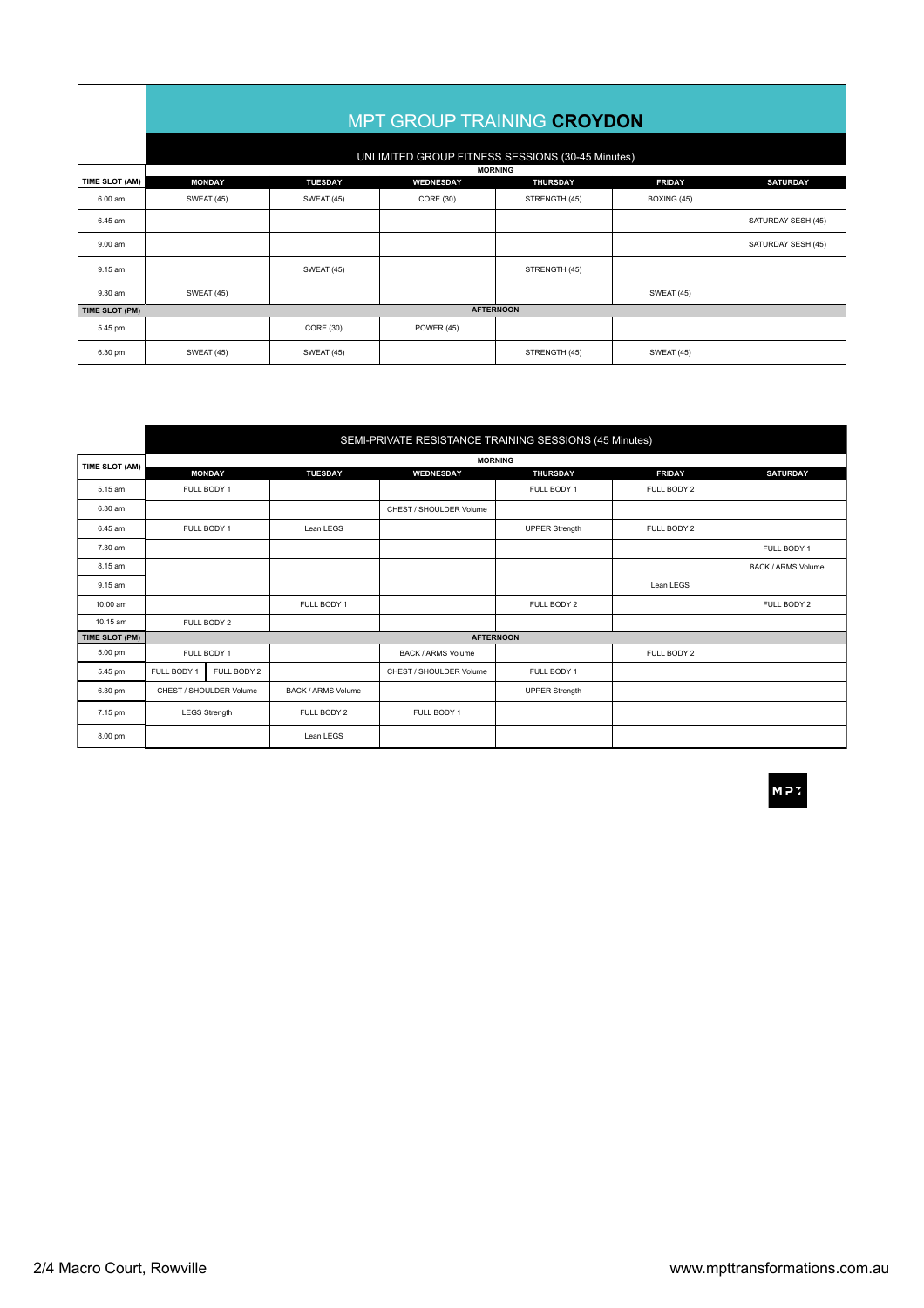|                | MPT GROUP TRAINING CROYDON<br>UNLIMITED GROUP FITNESS SESSIONS (30-45 Minutes) |                                     |                        |                                  |                              |                    |  |  |  |
|----------------|--------------------------------------------------------------------------------|-------------------------------------|------------------------|----------------------------------|------------------------------|--------------------|--|--|--|
| TIME SLOT (AM) | <b>MORNING</b>                                                                 |                                     |                        |                                  |                              |                    |  |  |  |
| 6.00 am        | <b>MONDAY</b><br><b>SWEAT (45)</b>                                             | <b>TUESDAY</b><br><b>SWEAT (45)</b> | WEDNESDAY<br>CORE (30) | <b>THURSDAY</b><br>STRENGTH (45) | <b>FRIDAY</b><br>BOXING (45) | <b>SATURDAY</b>    |  |  |  |
| 6.45 am        |                                                                                |                                     |                        |                                  |                              | SATURDAY SESH (45) |  |  |  |
| 9.00 am        |                                                                                |                                     |                        |                                  |                              | SATURDAY SESH (45) |  |  |  |
| 9.15 am        |                                                                                | <b>SWEAT (45)</b>                   |                        | STRENGTH (45)                    |                              |                    |  |  |  |
| 9.30 am        | <b>SWEAT (45)</b>                                                              |                                     |                        |                                  | <b>SWEAT (45)</b>            |                    |  |  |  |
| TIME SLOT (PM) | <b>AFTERNOON</b>                                                               |                                     |                        |                                  |                              |                    |  |  |  |
| 5.45 pm        |                                                                                | CORE (30)                           | <b>POWER (45)</b>      |                                  |                              |                    |  |  |  |
| 6.30 pm        | <b>SWEAT (45)</b>                                                              | <b>SWEAT (45)</b>                   |                        | STRENGTH (45)                    | <b>SWEAT (45)</b>            |                    |  |  |  |

|                | SEMI-PRIVATE RESISTANCE TRAINING SESSIONS (45 Minutes) |               |                           |                           |                       |               |                           |  |  |  |
|----------------|--------------------------------------------------------|---------------|---------------------------|---------------------------|-----------------------|---------------|---------------------------|--|--|--|
| TIME SLOT (AM) | <b>MORNING</b>                                         |               |                           |                           |                       |               |                           |  |  |  |
|                |                                                        | <b>MONDAY</b> | <b>TUESDAY</b>            | WEDNESDAY                 | <b>THURSDAY</b>       | <b>FRIDAY</b> | <b>SATURDAY</b>           |  |  |  |
| 5.15 am        | FULL BODY 1                                            |               |                           |                           | FULL BODY 1           | FULL BODY 2   |                           |  |  |  |
| 6.30 am        |                                                        |               |                           | CHEST / SHOULDER Volume   |                       |               |                           |  |  |  |
| 6.45 am        | FULL BODY 1                                            |               | Lean LEGS                 |                           | <b>UPPER Strength</b> | FULL BODY 2   |                           |  |  |  |
| 7.30 am        |                                                        |               |                           |                           |                       |               | FULL BODY 1               |  |  |  |
| 8.15 am        |                                                        |               |                           |                           |                       |               | <b>BACK / ARMS Volume</b> |  |  |  |
| 9.15 am        |                                                        |               |                           |                           |                       | Lean LEGS     |                           |  |  |  |
| 10.00 am       |                                                        |               | FULL BODY 1               |                           | FULL BODY 2           |               | FULL BODY 2               |  |  |  |
| 10.15 am       | FULL BODY 2                                            |               |                           |                           |                       |               |                           |  |  |  |
| TIME SLOT (PM) | <b>AFTERNOON</b>                                       |               |                           |                           |                       |               |                           |  |  |  |
| 5.00 pm        | FULL BODY 1                                            |               |                           | <b>BACK / ARMS Volume</b> |                       | FULL BODY 2   |                           |  |  |  |
| 5.45 pm        | FULL BODY 1                                            | FULL BODY 2   |                           | CHEST / SHOULDER Volume   | FULL BODY 1           |               |                           |  |  |  |
| 6.30 pm        | CHEST / SHOULDER Volume                                |               | <b>BACK / ARMS Volume</b> |                           | <b>UPPER Strength</b> |               |                           |  |  |  |
| 7.15 pm        | <b>LEGS Strength</b>                                   |               | FULL BODY 2               | FULL BODY 1               |                       |               |                           |  |  |  |
| 8.00 pm        |                                                        |               | Lean LEGS                 |                           |                       |               |                           |  |  |  |

MP7